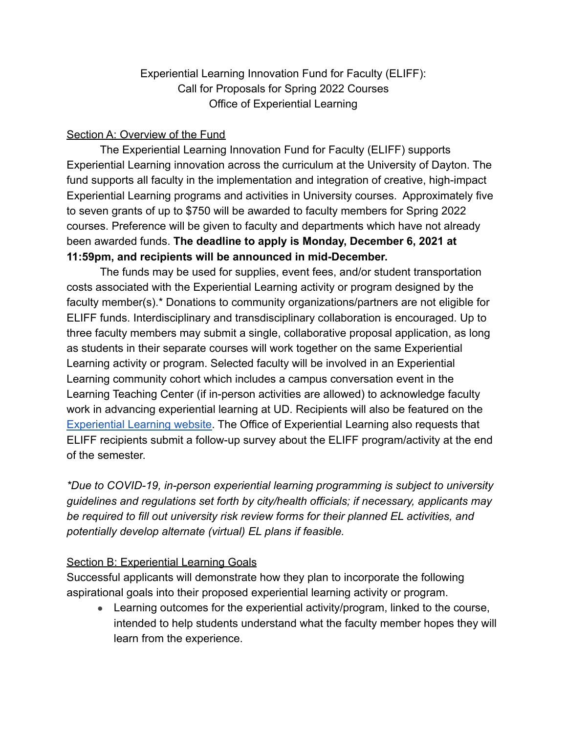## Experiential Learning Innovation Fund for Faculty (ELIFF): Call for Proposals for Spring 2022 Courses Office of Experiential Learning

## Section A: Overview of the Fund

The Experiential Learning Innovation Fund for Faculty (ELIFF) supports Experiential Learning innovation across the curriculum at the University of Dayton. The fund supports all faculty in the implementation and integration of creative, high-impact Experiential Learning programs and activities in University courses. Approximately five to seven grants of up to \$750 will be awarded to faculty members for Spring 2022 courses. Preference will be given to faculty and departments which have not already been awarded funds. **The deadline to apply is Monday, December 6, 2021 at 11:59pm, and recipients will be announced in mid-December.**

The funds may be used for supplies, event fees, and/or student transportation costs associated with the Experiential Learning activity or program designed by the faculty member(s).\* Donations to community organizations/partners are not eligible for ELIFF funds. Interdisciplinary and transdisciplinary collaboration is encouraged. Up to three faculty members may submit a single, collaborative proposal application, as long as students in their separate courses will work together on the same Experiential Learning activity or program. Selected faculty will be involved in an Experiential Learning community cohort which includes a campus conversation event in the Learning Teaching Center (if in-person activities are allowed) to acknowledge faculty work in advancing experiential learning at UD. Recipients will also be featured on the [Experiential Learning website.](https://udayton.edu/el/faculty-staff-resources/eliff/index.php) The Office of Experiential Learning also requests that ELIFF recipients submit a follow-up survey about the ELIFF program/activity at the end of the semester.

*\*Due to COVID-19, in-person experiential learning programming is subject to university guidelines and regulations set forth by city/health officials; if necessary, applicants may be required to fill out university risk review forms for their planned EL activities, and potentially develop alternate (virtual) EL plans if feasible.*

## Section B: Experiential Learning Goals

Successful applicants will demonstrate how they plan to incorporate the following aspirational goals into their proposed experiential learning activity or program.

• Learning outcomes for the experiential activity/program, linked to the course, intended to help students understand what the faculty member hopes they will learn from the experience.